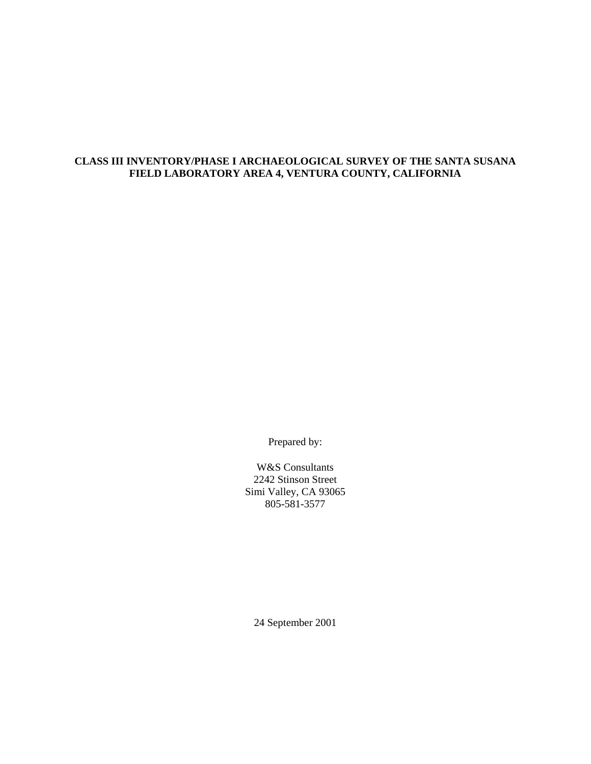# **CLASS III INVENTORY/PHASE I ARCHAEOLOGICAL SURVEY OF THE SANTA SUSANA FIELD LABORATORY AREA 4, VENTURA COUNTY, CALIFORNIA**

Prepared by:

W&S Consultants 2242 Stinson Street Simi Valley, CA 93065 805-581-3577

24 September 2001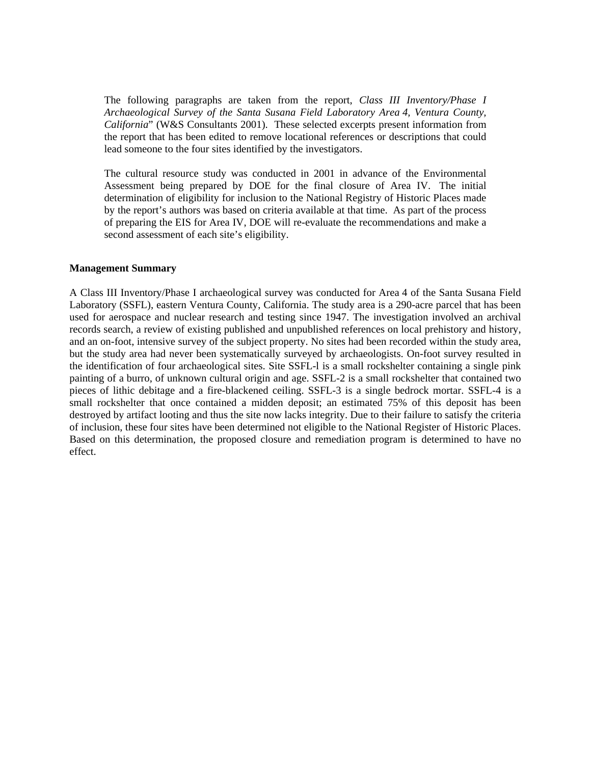The following paragraphs are taken from the report, *Class III Inventory/Phase I Archaeological Survey of the Santa Susana Field Laboratory Area 4, Ventura County, California*" (W&S Consultants 2001). These selected excerpts present information from the report that has been edited to remove locational references or descriptions that could lead someone to the four sites identified by the investigators.

The cultural resource study was conducted in 2001 in advance of the Environmental Assessment being prepared by DOE for the final closure of Area IV. The initial determination of eligibility for inclusion to the National Registry of Historic Places made by the report's authors was based on criteria available at that time. As part of the process of preparing the EIS for Area IV, DOE will re-evaluate the recommendations and make a second assessment of each site's eligibility.

# **Management Summary**

A Class III Inventory/Phase I archaeological survey was conducted for Area 4 of the Santa Susana Field Laboratory (SSFL), eastern Ventura County, California. The study area is a 290-acre parcel that has been used for aerospace and nuclear research and testing since 1947. The investigation involved an archival records search, a review of existing published and unpublished references on local prehistory and history, and an on-foot, intensive survey of the subject property. No sites had been recorded within the study area, but the study area had never been systematically surveyed by archaeologists. On-foot survey resulted in the identification of four archaeological sites. Site SSFL-l is a small rockshelter containing a single pink painting of a burro, of unknown cultural origin and age. SSFL-2 is a small rockshelter that contained two pieces of lithic debitage and a fire-blackened ceiling. SSFL-3 is a single bedrock mortar. SSFL-4 is a small rockshelter that once contained a midden deposit; an estimated 75% of this deposit has been destroyed by artifact looting and thus the site now lacks integrity. Due to their failure to satisfy the criteria of inclusion, these four sites have been determined not eligible to the National Register of Historic Places. Based on this determination, the proposed closure and remediation program is determined to have no effect.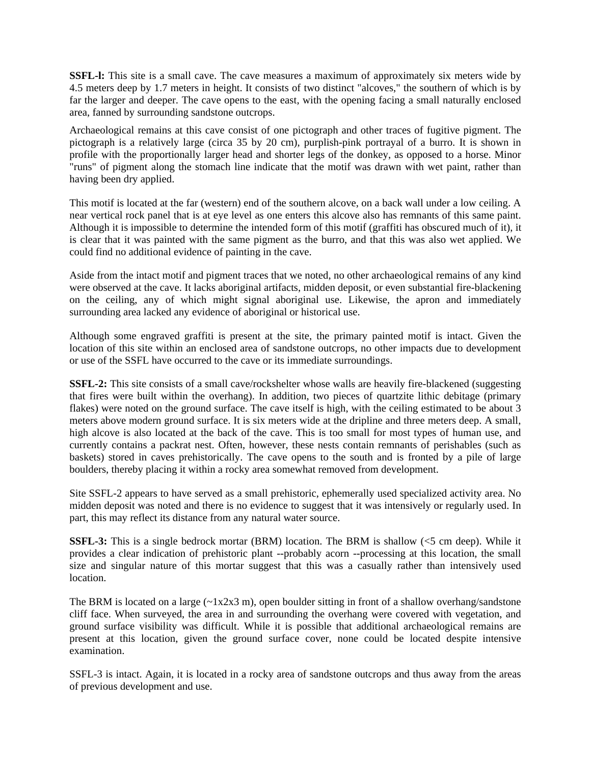**SSFL-1:** This site is a small cave. The cave measures a maximum of approximately six meters wide by 4.5 meters deep by 1.7 meters in height. It consists of two distinct "alcoves," the southern of which is by far the larger and deeper. The cave opens to the east, with the opening facing a small naturally enclosed area, fanned by surrounding sandstone outcrops.

Archaeological remains at this cave consist of one pictograph and other traces of fugitive pigment. The pictograph is a relatively large (circa 35 by 20 cm), purplish-pink portrayal of a burro. It is shown in profile with the proportionally larger head and shorter legs of the donkey, as opposed to a horse. Minor "runs" of pigment along the stomach line indicate that the motif was drawn with wet paint, rather than having been dry applied.

This motif is located at the far (western) end of the southern alcove, on a back wall under a low ceiling. A near vertical rock panel that is at eye level as one enters this alcove also has remnants of this same paint. Although it is impossible to determine the intended form of this motif (graffiti has obscured much of it), it is clear that it was painted with the same pigment as the burro, and that this was also wet applied. We could find no additional evidence of painting in the cave.

Aside from the intact motif and pigment traces that we noted, no other archaeological remains of any kind were observed at the cave. It lacks aboriginal artifacts, midden deposit, or even substantial fire-blackening on the ceiling, any of which might signal aboriginal use. Likewise, the apron and immediately surrounding area lacked any evidence of aboriginal or historical use.

Although some engraved graffiti is present at the site, the primary painted motif is intact. Given the location of this site within an enclosed area of sandstone outcrops, no other impacts due to development or use of the SSFL have occurred to the cave or its immediate surroundings.

**SSFL-2:** This site consists of a small cave/rockshelter whose walls are heavily fire-blackened (suggesting that fires were built within the overhang). In addition, two pieces of quartzite lithic debitage (primary flakes) were noted on the ground surface. The cave itself is high, with the ceiling estimated to be about 3 meters above modern ground surface. It is six meters wide at the dripline and three meters deep. A small, high alcove is also located at the back of the cave. This is too small for most types of human use, and currently contains a packrat nest. Often, however, these nests contain remnants of perishables (such as baskets) stored in caves prehistorically. The cave opens to the south and is fronted by a pile of large boulders, thereby placing it within a rocky area somewhat removed from development.

Site SSFL-2 appears to have served as a small prehistoric, ephemerally used specialized activity area. No midden deposit was noted and there is no evidence to suggest that it was intensively or regularly used. In part, this may reflect its distance from any natural water source.

**SSFL-3:** This is a single bedrock mortar (BRM) location. The BRM is shallow (<5 cm deep). While it provides a clear indication of prehistoric plant --probably acorn --processing at this location, the small size and singular nature of this mortar suggest that this was a casually rather than intensively used location.

The BRM is located on a large  $(\sim 1x2x3 \text{ m})$ , open boulder sitting in front of a shallow overhang/sandstone cliff face. When surveyed, the area in and surrounding the overhang were covered with vegetation, and ground surface visibility was difficult. While it is possible that additional archaeological remains are present at this location, given the ground surface cover, none could be located despite intensive examination.

SSFL-3 is intact. Again, it is located in a rocky area of sandstone outcrops and thus away from the areas of previous development and use.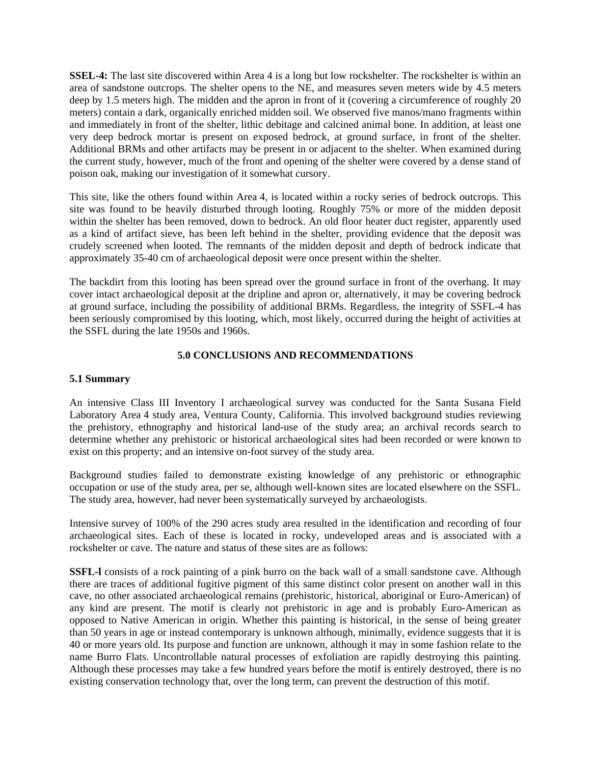**SSEL-4:** The last site discovered within Area 4 is a long but low rockshelter. The rockshelter is within an area of sandstone outcrops. The shelter opens to the NE, and measures seven meters wide by 4.5 meters deep by 1.5 meters high. The midden and the apron in front of it (covering a circumference of roughly 20 meters) contain a dark, organically enriched midden soil. We observed five manos/mano fragments within and immediately in front of the shelter, lithic debitage and calcined animal bone. In addition, at least one very deep bedrock mortar is present on exposed bedrock, at ground surface, in front of the shelter. Additional BRMs and other artifacts may be present in or adjacent to the shelter. When examined during the current study, however, much of the front and opening of the shelter were covered by a dense stand of poison oak, making our investigation of it somewhat cursory.

This site, like the others found within Area 4, is located within a rocky series of bedrock outcrops. This site was found to be heavily disturbed through looting. Roughly 75% or more of the midden deposit within the shelter has been removed, down to bedrock. An old floor heater duct register, apparently used as a kind of artifact sieve, has been left behind in the shelter, providing evidence that the deposit was crudely screened when looted. The remnants of the midden deposit and depth of bedrock indicate that approximately 35-40 cm of archaeological deposit were once present within the shelter.

The backdirt from this looting has been spread over the ground surface in front of the overhang. It may cover intact archaeological deposit at the dripline and apron or, alternatively, it may be covering bedrock at ground surface, including the possibility of additional BRMs. Regardless, the integrity of SSFL-4 has been seriously compromised by this looting, which, most likely, occurred during the height of activities at the SSFL during the late 1950s and 1960s.

# **5.0 CONCLUSIONS AND RECOMMENDATIONS**

# **5.1 Summary**

An intensive Class III Inventory I archaeological survey was conducted for the Santa Susana Field Laboratory Area 4 study area, Ventura County, California. This involved background studies reviewing the prehistory, ethnography and historical land-use of the study area; an archival records search to determine whether any prehistoric or historical archaeological sites had been recorded or were known to exist on this property; and an intensive on-foot survey of the study area.

Background studies failed to demonstrate existing knowledge of any prehistoric or ethnographic occupation or use of the study area, per se, although well-known sites are located elsewhere on the SSFL. The study area, however, had never been systematically surveyed by archaeologists.

Intensive survey of 100% of the 290 acres study area resulted in the identification and recording of four archaeological sites. Each of these is located in rocky, undeveloped areas and is associated with a rockshelter or cave. The nature and status of these sites are as follows:

**SSFL-l** consists of a rock painting of a pink burro on the back wall of a small sandstone cave. Although there are traces of additional fugitive pigment of this same distinct color present on another wall in this cave, no other associated archaeological remains (prehistoric, historical, aboriginal or Euro-American) of any kind are present. The motif is clearly not prehistoric in age and is probably Euro-American as opposed to Native American in origin. Whether this painting is historical, in the sense of being greater than 50 years in age or instead contemporary is unknown although, minimally, evidence suggests that it is 40 or more years old. Its purpose and function are unknown, although it may in some fashion relate to the name Burro Flats. Uncontrollable natural processes of exfoliation are rapidly destroying this painting. Although these processes may take a few hundred years before the motif is entirely destroyed, there is no existing conservation technology that, over the long term, can prevent the destruction of this motif.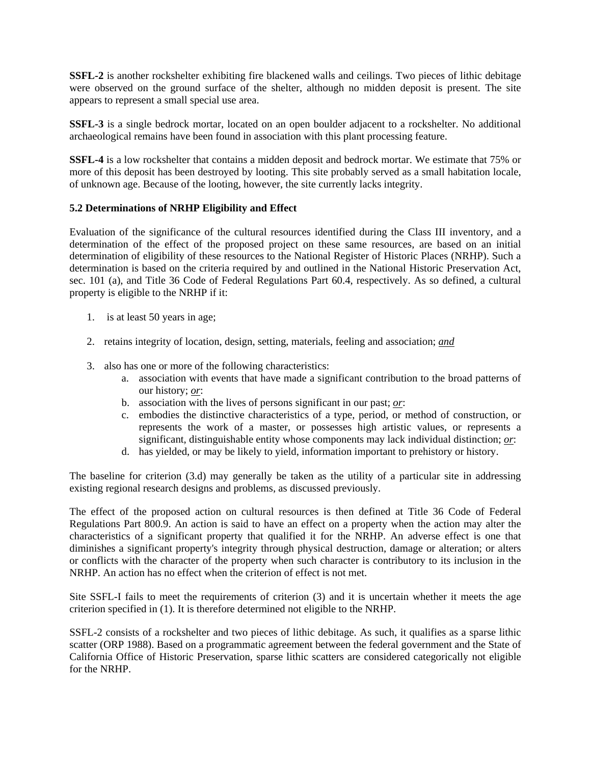**SSFL-2** is another rockshelter exhibiting fire blackened walls and ceilings. Two pieces of lithic debitage were observed on the ground surface of the shelter, although no midden deposit is present. The site appears to represent a small special use area.

**SSFL-3** is a single bedrock mortar, located on an open boulder adjacent to a rockshelter. No additional archaeological remains have been found in association with this plant processing feature.

**SSFL-4** is a low rockshelter that contains a midden deposit and bedrock mortar. We estimate that 75% or more of this deposit has been destroyed by looting. This site probably served as a small habitation locale, of unknown age. Because of the looting, however, the site currently lacks integrity.

# **5.2 Determinations of NRHP Eligibility and Effect**

Evaluation of the significance of the cultural resources identified during the Class III inventory, and a determination of the effect of the proposed project on these same resources, are based on an initial determination of eligibility of these resources to the National Register of Historic Places (NRHP). Such a determination is based on the criteria required by and outlined in the National Historic Preservation Act, sec. 101 (a), and Title 36 Code of Federal Regulations Part 60.4, respectively. As so defined, a cultural property is eligible to the NRHP if it:

- 1. is at least 50 years in age;
- 2. retains integrity of location, design, setting, materials, feeling and association; *and*
- 3. also has one or more of the following characteristics:
	- a. association with events that have made a significant contribution to the broad patterns of our history; *or*:
	- b. association with the lives of persons significant in our past; *or*:
	- c. embodies the distinctive characteristics of a type, period, or method of construction, or represents the work of a master, or possesses high artistic values, or represents a significant, distinguishable entity whose components may lack individual distinction; *or*:
	- d. has yielded, or may be likely to yield, information important to prehistory or history.

The baseline for criterion (3.d) may generally be taken as the utility of a particular site in addressing existing regional research designs and problems, as discussed previously.

The effect of the proposed action on cultural resources is then defined at Title 36 Code of Federal Regulations Part 800.9. An action is said to have an effect on a property when the action may alter the characteristics of a significant property that qualified it for the NRHP. An adverse effect is one that diminishes a significant property's integrity through physical destruction, damage or alteration; or alters or conflicts with the character of the property when such character is contributory to its inclusion in the NRHP. An action has no effect when the criterion of effect is not met.

Site SSFL-I fails to meet the requirements of criterion (3) and it is uncertain whether it meets the age criterion specified in (1). It is therefore determined not eligible to the NRHP.

SSFL-2 consists of a rockshelter and two pieces of lithic debitage. As such, it qualifies as a sparse lithic scatter (ORP 1988). Based on a programmatic agreement between the federal government and the State of California Office of Historic Preservation, sparse lithic scatters are considered categorically not eligible for the NRHP.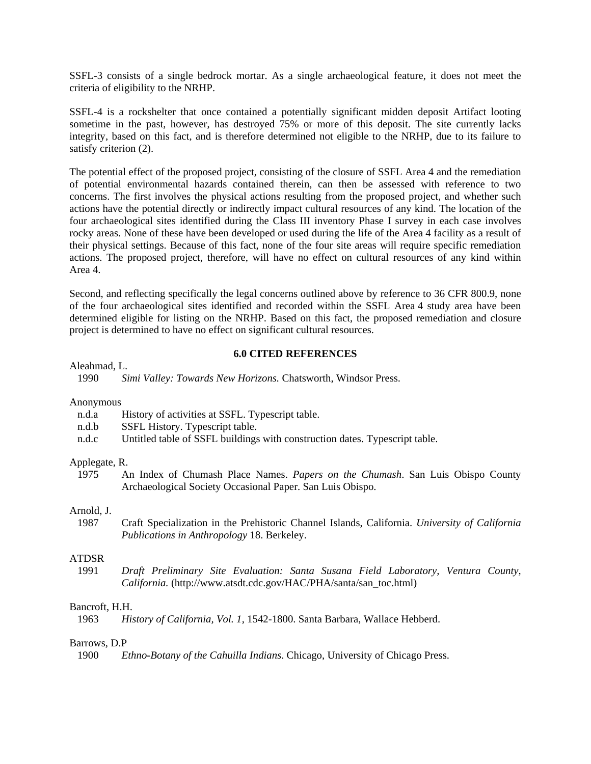SSFL-3 consists of a single bedrock mortar. As a single archaeological feature, it does not meet the criteria of eligibility to the NRHP.

SSFL-4 is a rockshelter that once contained a potentially significant midden deposit Artifact looting sometime in the past, however, has destroyed 75% or more of this deposit. The site currently lacks integrity, based on this fact, and is therefore determined not eligible to the NRHP, due to its failure to satisfy criterion (2).

The potential effect of the proposed project, consisting of the closure of SSFL Area 4 and the remediation of potential environmental hazards contained therein, can then be assessed with reference to two concerns. The first involves the physical actions resulting from the proposed project, and whether such actions have the potential directly or indirectly impact cultural resources of any kind. The location of the four archaeological sites identified during the Class III inventory Phase I survey in each case involves rocky areas. None of these have been developed or used during the life of the Area 4 facility as a result of their physical settings. Because of this fact, none of the four site areas will require specific remediation actions. The proposed project, therefore, will have no effect on cultural resources of any kind within Area 4.

Second, and reflecting specifically the legal concerns outlined above by reference to 36 CFR 800.9, none of the four archaeological sites identified and recorded within the SSFL Area 4 study area have been determined eligible for listing on the NRHP. Based on this fact, the proposed remediation and closure project is determined to have no effect on significant cultural resources.

# **6.0 CITED REFERENCES**

Aleahmad, L.

1990 *Simi Valley: Towards New Horizons.* Chatsworth, Windsor Press.

# Anonymous

| n.d.a | History of activities at SSFL. Typescript table. |  |
|-------|--------------------------------------------------|--|
|-------|--------------------------------------------------|--|

- n.d.b SSFL History. Typescript table.
- n.d.c Untitled table of SSFL buildings with construction dates. Typescript table.

## Applegate, R.

 1975 An Index of Chumash Place Names. *Papers on the Chumash*. San Luis Obispo County Archaeological Society Occasional Paper. San Luis Obispo.

# Arnold, J.

 1987 Craft Specialization in the Prehistoric Channel Islands, California. *University of California Publications in Anthropology* 18. Berkeley.

# ATDSR

 1991 *Draft Preliminary Site Evaluation: Santa Susana Field Laboratory, Ventura County, California.* (http://www.atsdt.cdc.gov/HAC/PHA/santa/san\_toc.html)

# Bancroft, H.H.

1963 *History of California, Vol. 1*, 1542-1800. Santa Barbara, Wallace Hebberd.

# Barrows, D.P

1900 *Ethno-Botany of the Cahuilla Indians*. Chicago, University of Chicago Press.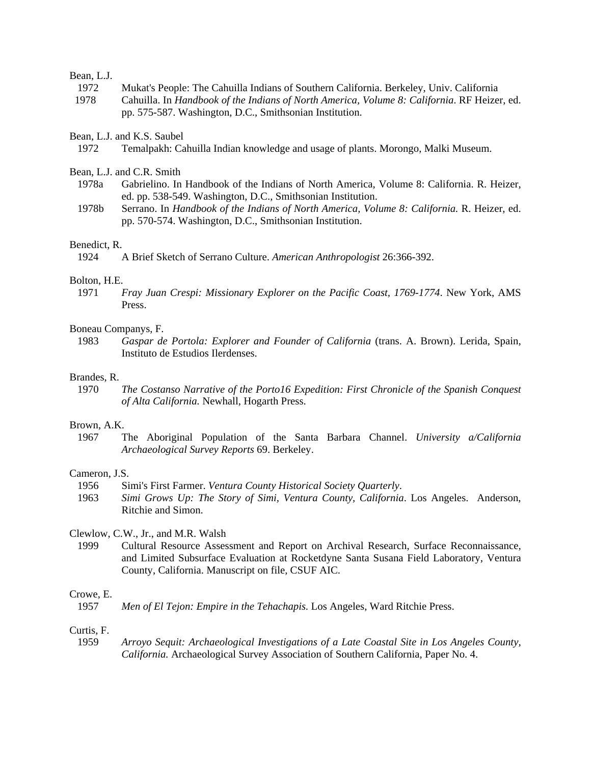# Bean, L.J.

- 1972 Mukat's People: The Cahuilla Indians of Southern California. Berkeley, Univ. California
- 1978 Cahuilla. In *Handbook of the Indians of North America, Volume 8: California*. RF Heizer, ed. pp. 575-587. Washington, D.C., Smithsonian Institution.

Bean, L.J. and K.S. Saubel

Bean, L.J. and C.R. Smith

- 1978a Gabrielino. In Handbook of the Indians of North America, Volume 8: California. R. Heizer, ed. pp. 538-549. Washington, D.C., Smithsonian Institution.
- 1978b Serrano. In *Handbook of the Indians of North America, Volume 8: California.* R. Heizer, ed. pp. 570-574. Washington, D.C., Smithsonian Institution.

# Benedict, R.

1924 A Brief Sketch of Serrano Culture. *American Anthropologist* 26:366-392.

# Bolton, H.E.

 1971 *Fray Juan Crespi: Missionary Explorer on the Pacific Coast, 1769-1774*. New York, AMS Press.

# Boneau Companys, F.

 1983 *Gaspar de Portola: Explorer and Founder of California* (trans. A. Brown). Lerida, Spain, Instituto de Estudios Ilerdenses.

# Brandes, R.

 1970 *The Costanso Narrative of the Porto16 Expedition: First Chronicle of the Spanish Conquest of Alta California.* Newhall, Hogarth Press.

# Brown, A.K.

 1967 The Aboriginal Population of the Santa Barbara Channel. *University a/California Archaeological Survey Reports* 69. Berkeley.

# Cameron, J.S.

- 1956 Simi's First Farmer. *Ventura County Historical Society Quarterly*.
- 1963 *Simi Grows Up: The Story of Simi, Ventura County, California*. Los Angeles. Anderson, Ritchie and Simon.

# Clewlow, C.W., Jr., and M.R. Walsh

 1999 Cultural Resource Assessment and Report on Archival Research, Surface Reconnaissance, and Limited Subsurface Evaluation at Rocketdyne Santa Susana Field Laboratory, Ventura County, California. Manuscript on file, CSUF AIC.

# Crowe, E.

#### Curtis, F.

 1959 *Arroyo Sequit: Archaeological Investigations of a Late Coastal Site in Los Angeles County, California.* Archaeological Survey Association of Southern California, Paper No. 4.

 <sup>1972</sup> Temalpakh: Cahuilla Indian knowledge and usage of plants. Morongo, Malki Museum.

 <sup>1957</sup> *Men of El Tejon: Empire in the Tehachapis.* Los Angeles, Ward Ritchie Press.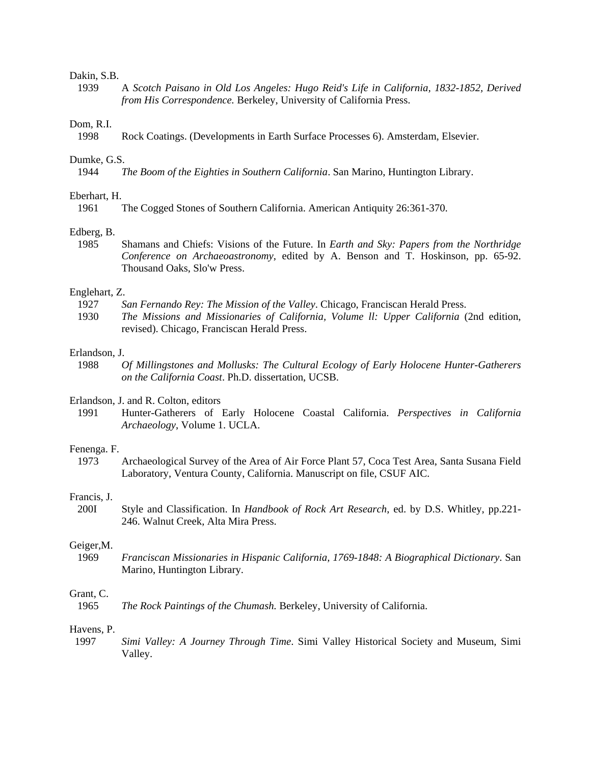# Dakin, S.B.

 1939 A *Scotch Paisano in Old Los Angeles: Hugo Reid's Life in California, 1832-1852, Derived from His Correspondence.* Berkeley, University of California Press.

# Dom, R.I.

1998 Rock Coatings. (Developments in Earth Surface Processes 6). Amsterdam, Elsevier.

#### Dumke, G.S.

1944 *The Boom of the Eighties in Southern California*. San Marino, Huntington Library.

# Eberhart, H.

1961 The Cogged Stones of Southern California. American Antiquity 26:361-370.

#### Edberg, B.

 1985 Shamans and Chiefs: Visions of the Future. In *Earth and Sky: Papers from the Northridge Conference on Archaeoastronomy*, edited by A. Benson and T. Hoskinson, pp. 65-92. Thousand Oaks, Slo'w Press.

## Englehart, Z.

- 1927 *San Fernando Rey: The Mission of the Valley*. Chicago, Franciscan Herald Press.
- 1930 *The Missions and Missionaries of California, Volume ll: Upper California* (2nd edition, revised). Chicago, Franciscan Herald Press.

# Erlandson, J.

 1988 *Of Millingstones and Mollusks: The Cultural Ecology of Early Holocene Hunter-Gatherers on the California Coast*. Ph.D. dissertation, UCSB.

# Erlandson, J. and R. Colton, editors

 1991 Hunter-Gatherers of Early Holocene Coastal California. *Perspectives in California Archaeology*, Volume 1. UCLA.

## Fenenga. F.

 1973 Archaeological Survey of the Area of Air Force Plant 57, Coca Test Area, Santa Susana Field Laboratory, Ventura County, California. Manuscript on file, CSUF AIC.

# Francis, J.

 200I Style and Classification. In *Handbook of Rock Art Research*, ed. by D.S. Whitley, pp.221- 246. Walnut Creek, Alta Mira Press.

## Geiger,M.

 1969 *Franciscan Missionaries in Hispanic California, 1769-1848: A Biographical Dictionary*. San Marino, Huntington Library.

## Grant, C.

1965 *The Rock Paintings of the Chumash.* Berkeley, University of California.

#### Havens, P.

 1997 *Simi Valley: A Journey Through Time*. Simi Valley Historical Society and Museum, Simi Valley.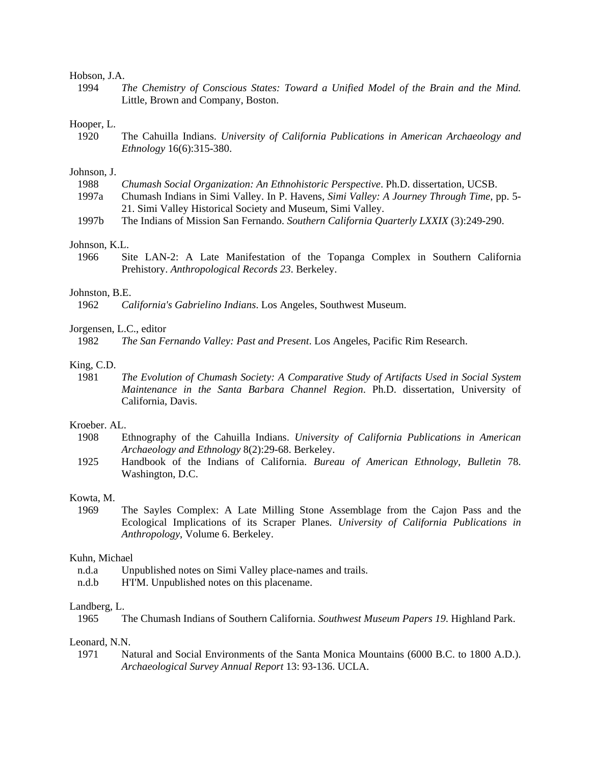# Hobson, J.A.

 1994 *The Chemistry of Conscious States: Toward a Unified Model of the Brain and the Mind.* Little, Brown and Company, Boston.

#### Hooper, L.

 1920 The Cahuilla Indians. *University of California Publications in American Archaeology and Ethnology* 16(6):315-380.

#### Johnson, J.

| 1988  | Chumash Social Organization: An Ethnohistoric Perspective. Ph.D. dissertation, UCSB.      |
|-------|-------------------------------------------------------------------------------------------|
| 1997a | Chumash Indians in Simi Valley. In P. Havens, Simi Valley: A Journey Through Time, pp. 5- |
|       | 21. Simi Valley Historical Society and Museum, Simi Valley.                               |
| 10071 | $\mathbf{m}$ run $\mathbf{m}$ run $\mathbf{m}$                                            |

1997b The Indians of Mission San Fernando. *Southern California Quarterly LXXIX* (3):249-290.

# Johnson, K.L.

 1966 Site LAN-2: A Late Manifestation of the Topanga Complex in Southern California Prehistory. *Anthropological Records 23*. Berkeley.

# Johnston, B.E.

1962 *California's Gabrielino Indians*. Los Angeles, Southwest Museum.

# Jorgensen, L.C., editor

1982 *The San Fernando Valley: Past and Present*. Los Angeles, Pacific Rim Research.

# King, C.D.

 1981 *The Evolution of Chumash Society: A Comparative Study of Artifacts Used in Social System Maintenance in the Santa Barbara Channel Region*. Ph.D. dissertation, University of California, Davis.

# Kroeber. AL.

- 1908 Ethnography of the Cahuilla Indians. *University of California Publications in American Archaeology and Ethnology* 8(2):29-68. Berkeley.
- 1925 Handbook of the Indians of California. *Bureau of American Ethnology, Bulletin* 78. Washington, D.C.

## Kowta, M.

 1969 The Sayles Complex: A Late Milling Stone Assemblage from the Cajon Pass and the Ecological Implications of its Scraper Planes. *University of California Publications in Anthropology*, Volume 6. Berkeley.

# Kuhn, Michael

- n.d.a Unpublished notes on Simi Valley place-names and trails.
- n.d.b H'I'M. Unpublished notes on this placename.

# Landberg, L.

1965 The Chumash Indians of Southern California. *Southwest Museum Papers 19*. Highland Park.

# Leonard, N.N.

 1971 Natural and Social Environments of the Santa Monica Mountains (6000 B.C. to 1800 A.D.). *Archaeological Survey Annual Report* 13: 93-136. UCLA.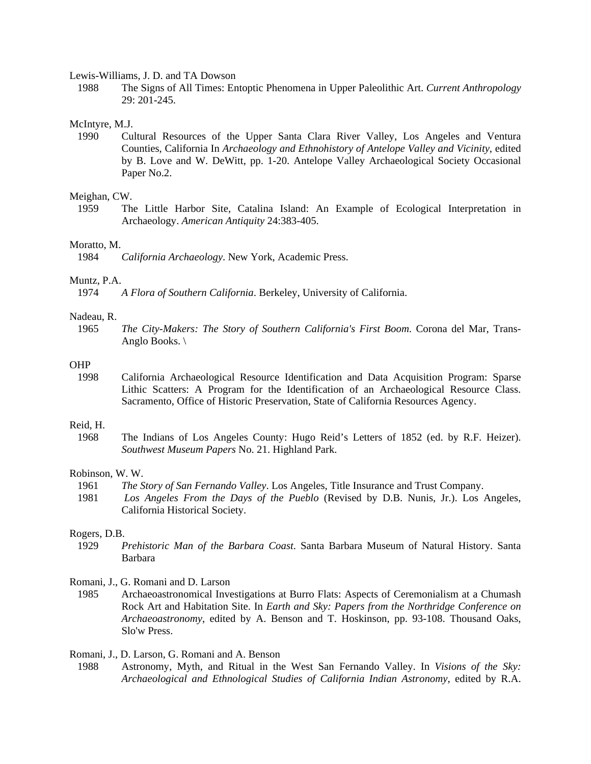Lewis-Williams, J. D. and TA Dowson

 1988 The Signs of All Times: Entoptic Phenomena in Upper Paleolithic Art. *Current Anthropology* 29: 201-245.

#### McIntyre, M.J.

 1990 Cultural Resources of the Upper Santa Clara River Valley, Los Angeles and Ventura Counties, California In *Archaeology and Ethnohistory of Antelope Valley and Vicinity*, edited by B. Love and W. DeWitt, pp. 1-20. Antelope Valley Archaeological Society Occasional Paper No.2.

# Meighan, CW.

 1959 The Little Harbor Site, Catalina Island: An Example of Ecological Interpretation in Archaeology. *American Antiquity* 24:383-405.

# Moratto, M.

1984 *California Archaeology*. New York, Academic Press.

# Muntz, P.A.

1974 *A Flora of Southern California*. Berkeley, University of California.

# Nadeau, R.

 1965 *The City-Makers: The Story of Southern California's First Boom*. Corona del Mar, Trans-Anglo Books. \

# OHP

 1998 California Archaeological Resource Identification and Data Acquisition Program: Sparse Lithic Scatters: A Program for the Identification of an Archaeological Resource Class. Sacramento, Office of Historic Preservation, State of California Resources Agency.

# Reid, H.

 1968 The Indians of Los Angeles County: Hugo Reid's Letters of 1852 (ed. by R.F. Heizer). *Southwest Museum Papers* No. 21. Highland Park.

# Robinson, W. W.

- 1961 *The Story of San Fernando Valley*. Los Angeles, Title Insurance and Trust Company.
- 1981 *Los Angeles From the Days of the Pueblo* (Revised by D.B. Nunis, Jr.). Los Angeles, California Historical Society.

#### Rogers, D.B.

- 1929 *Prehistoric Man of the Barbara Coast*. Santa Barbara Museum of Natural History. Santa Barbara
- Romani, J., G. Romani and D. Larson
	- 1985 Archaeoastronomical Investigations at Burro Flats: Aspects of Ceremonialism at a Chumash Rock Art and Habitation Site. In *Earth and Sky: Papers from the Northridge Conference on Archaeoastronomy*, edited by A. Benson and T. Hoskinson, pp. 93-108. Thousand Oaks, Slo'w Press.

Romani, J., D. Larson, G. Romani and A. Benson

 1988 Astronomy, Myth, and Ritual in the West San Fernando Valley. In *Visions of the Sky: Archaeological and Ethnological Studies of California Indian Astronomy*, edited by R.A.